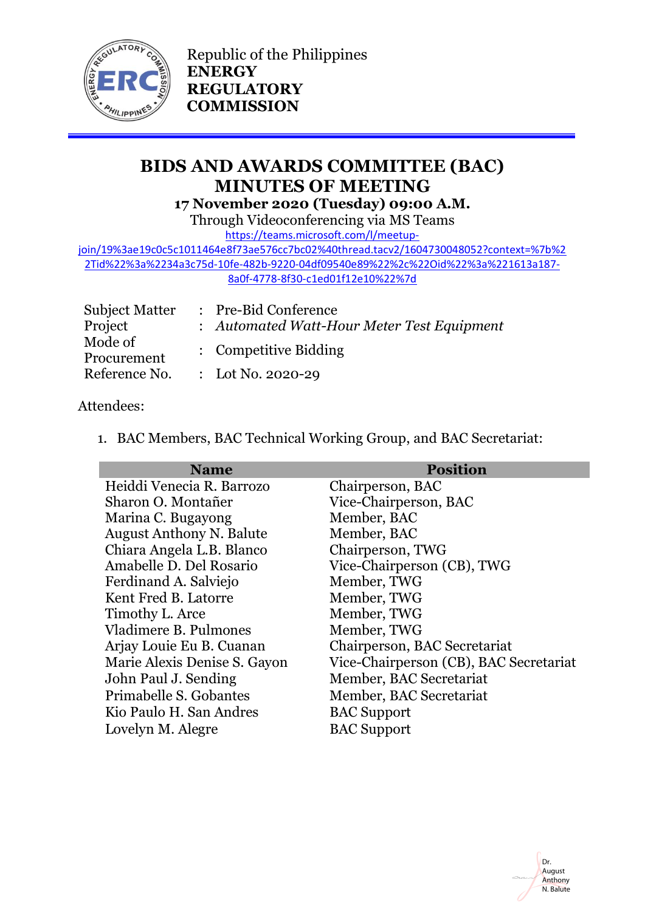

Republic of the Philippines **ENERGY REGULATORY COMMISSION**

# **BIDS AND AWARDS COMMITTEE (BAC) MINUTES OF MEETING**

**17 November 2020 (Tuesday) 09:00 A.M.** Through Videoconferencing via MS Teams

[https://teams.microsoft.com/l/meetup-](https://teams.microsoft.com/l/meetup-join/19%3ae19c0c5c1011464e8f73ae576cc7bc02%40thread.tacv2/1604730048052?context=%7b%22Tid%22%3a%2234a3c75d-10fe-482b-9220-04df09540e89%22%2c%22Oid%22%3a%221613a187-8a0f-4778-8f30-c1ed01f12e10%22%7d)

[join/19%3ae19c0c5c1011464e8f73ae576cc7bc02%40thread.tacv2/1604730048052?context=%7b%2](https://teams.microsoft.com/l/meetup-join/19%3ae19c0c5c1011464e8f73ae576cc7bc02%40thread.tacv2/1604730048052?context=%7b%22Tid%22%3a%2234a3c75d-10fe-482b-9220-04df09540e89%22%2c%22Oid%22%3a%221613a187-8a0f-4778-8f30-c1ed01f12e10%22%7d) [2Tid%22%3a%2234a3c75d-10fe-482b-9220-04df09540e89%22%2c%22Oid%22%3a%221613a187-](https://teams.microsoft.com/l/meetup-join/19%3ae19c0c5c1011464e8f73ae576cc7bc02%40thread.tacv2/1604730048052?context=%7b%22Tid%22%3a%2234a3c75d-10fe-482b-9220-04df09540e89%22%2c%22Oid%22%3a%221613a187-8a0f-4778-8f30-c1ed01f12e10%22%7d) [8a0f-4778-8f30-c1ed01f12e10%22%7d](https://teams.microsoft.com/l/meetup-join/19%3ae19c0c5c1011464e8f73ae576cc7bc02%40thread.tacv2/1604730048052?context=%7b%22Tid%22%3a%2234a3c75d-10fe-482b-9220-04df09540e89%22%2c%22Oid%22%3a%221613a187-8a0f-4778-8f30-c1ed01f12e10%22%7d)

| <b>Subject Matter</b>  | : Pre-Bid Conference                       |
|------------------------|--------------------------------------------|
| Project                | : Automated Watt-Hour Meter Test Equipment |
| Mode of<br>Procurement | : Competitive Bidding                      |
| Reference No.          | : Lot No. 2020-29                          |

## Attendees:

1. BAC Members, BAC Technical Working Group, and BAC Secretariat:

| <b>Name</b>                     | <b>Position</b>                        |
|---------------------------------|----------------------------------------|
| Heiddi Venecia R. Barrozo       | Chairperson, BAC                       |
| Sharon O. Montañer              | Vice-Chairperson, BAC                  |
| Marina C. Bugayong              | Member, BAC                            |
| <b>August Anthony N. Balute</b> | Member, BAC                            |
| Chiara Angela L.B. Blanco       | Chairperson, TWG                       |
| Amabelle D. Del Rosario         | Vice-Chairperson (CB), TWG             |
| Ferdinand A. Salviejo           | Member, TWG                            |
| Kent Fred B. Latorre            | Member, TWG                            |
| Timothy L. Arce                 | Member, TWG                            |
| Vladimere B. Pulmones           | Member, TWG                            |
| Arjay Louie Eu B. Cuanan        | Chairperson, BAC Secretariat           |
| Marie Alexis Denise S. Gayon    | Vice-Chairperson (CB), BAC Secretariat |
| John Paul J. Sending            | Member, BAC Secretariat                |
| Primabelle S. Gobantes          | Member, BAC Secretariat                |
| Kio Paulo H. San Andres         | <b>BAC</b> Support                     |
| Lovelyn M. Alegre               | <b>BAC</b> Support                     |





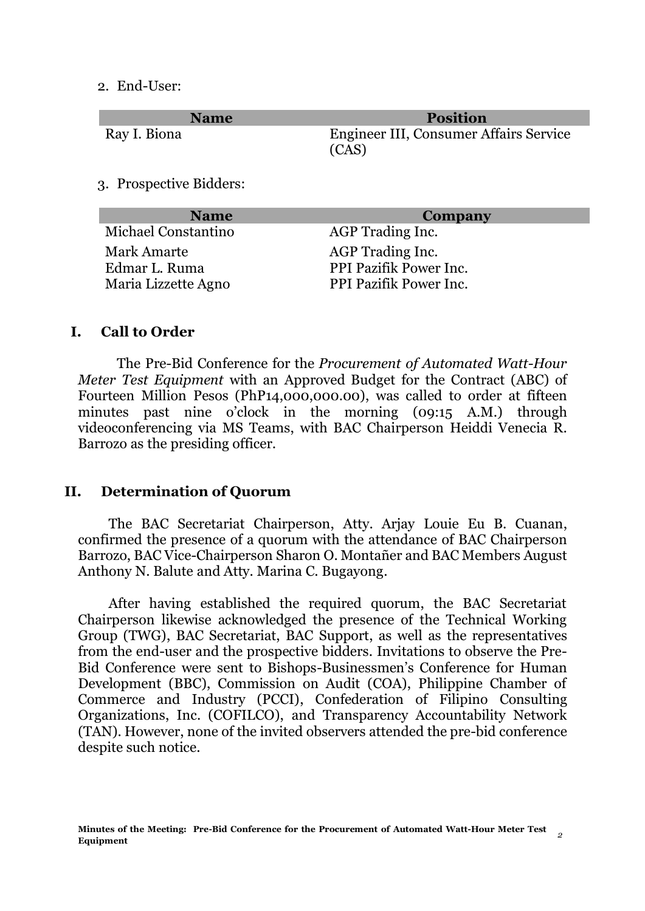#### 2. End-User:

| <b>Name</b>                          | <b>Position</b>                                  |
|--------------------------------------|--------------------------------------------------|
| Ray I. Biona                         | Engineer III, Consumer Affairs Service<br>(CAS)  |
| 3. Prospective Bidders:              |                                                  |
|                                      |                                                  |
| <b>Name</b>                          | Company                                          |
| Michael Constantino                  | AGP Trading Inc.                                 |
| <b>Mark Amarte</b>                   | AGP Trading Inc.                                 |
| Edmar L. Ruma<br>Maria Lizzette Agno | PPI Pazifik Power Inc.<br>PPI Pazifik Power Inc. |

### **I. Call to Order**

The Pre-Bid Conference for the *Procurement of Automated Watt-Hour Meter Test Equipment* with an Approved Budget for the Contract (ABC) of Fourteen Million Pesos (PhP14,000,000.00), was called to order at fifteen minutes past nine o'clock in the morning (09:15 A.M.) through videoconferencing via MS Teams, with BAC Chairperson Heiddi Venecia R. Barrozo as the presiding officer.

### **II. Determination of Quorum**

The BAC Secretariat Chairperson, Atty. Arjay Louie Eu B. Cuanan, confirmed the presence of a quorum with the attendance of BAC Chairperson Barrozo, BAC Vice-Chairperson Sharon O. Montañer and BAC Members August Anthony N. Balute and Atty. Marina C. Bugayong.

After having established the required quorum, the BAC Secretariat Chairperson likewise acknowledged the presence of the Technical Working Group (TWG), BAC Secretariat, BAC Support, as well as the representatives from the end-user and the prospective bidders. Invitations to observe the Pre-Bid Conference were sent to Bishops-Businessmen's Conference for Human Development (BBC), Commission on Audit (COA), Philippine Chamber of Commerce and Industry (PCCI), Confederation of Filipino Consulting Organizations, Inc. (COFILCO), and Transparency Accountability Network (TAN). However, none of the invited observers attended the pre-bid conference despite such notice.

Mehann/

Sharon O. Montaner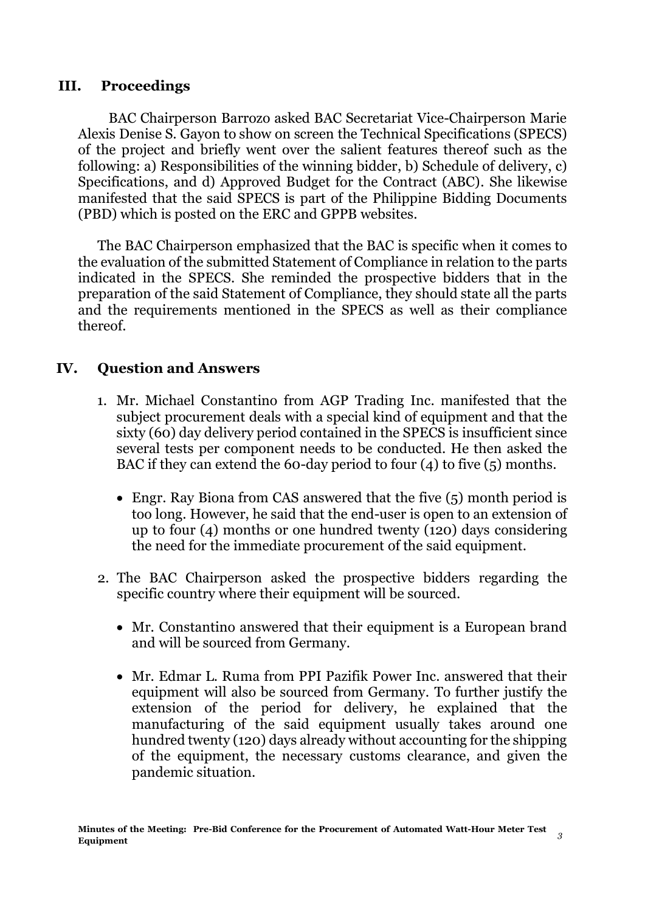## **III. Proceedings**

BAC Chairperson Barrozo asked BAC Secretariat Vice-Chairperson Marie Alexis Denise S. Gayon to show on screen the Technical Specifications (SPECS) of the project and briefly went over the salient features thereof such as the following: a) Responsibilities of the winning bidder, b) Schedule of delivery, c) Specifications, and d) Approved Budget for the Contract (ABC). She likewise manifested that the said SPECS is part of the Philippine Bidding Documents (PBD) which is posted on the ERC and GPPB websites.

The BAC Chairperson emphasized that the BAC is specific when it comes to the evaluation of the submitted Statement of Compliance in relation to the parts indicated in the SPECS. She reminded the prospective bidders that in the preparation of the said Statement of Compliance, they should state all the parts and the requirements mentioned in the SPECS as well as their compliance thereof.

## **IV. Question and Answers**

- 1. Mr. Michael Constantino from AGP Trading Inc. manifested that the subject procurement deals with a special kind of equipment and that the sixty (60) day delivery period contained in the SPECS is insufficient since several tests per component needs to be conducted. He then asked the BAC if they can extend the 60-day period to four (4) to five (5) months.
	- Engr. Ray Biona from CAS answered that the five (5) month period is too long. However, he said that the end-user is open to an extension of up to four (4) months or one hundred twenty (120) days considering the need for the immediate procurement of the said equipment.
- 2. The BAC Chairperson asked the prospective bidders regarding the specific country where their equipment will be sourced.
	- Mr. Constantino answered that their equipment is a European brand and will be sourced from Germany.
	- Mr. Edmar L. Ruma from PPI Pazifik Power Inc. answered that their equipment will also be sourced from Germany. To further justify the extension of the period for delivery, he explained that the manufacturing of the said equipment usually takes around one hundred twenty (120) days already without accounting for the shipping of the equipment, the necessary customs clearance, and given the pandemic situation.

Mechanger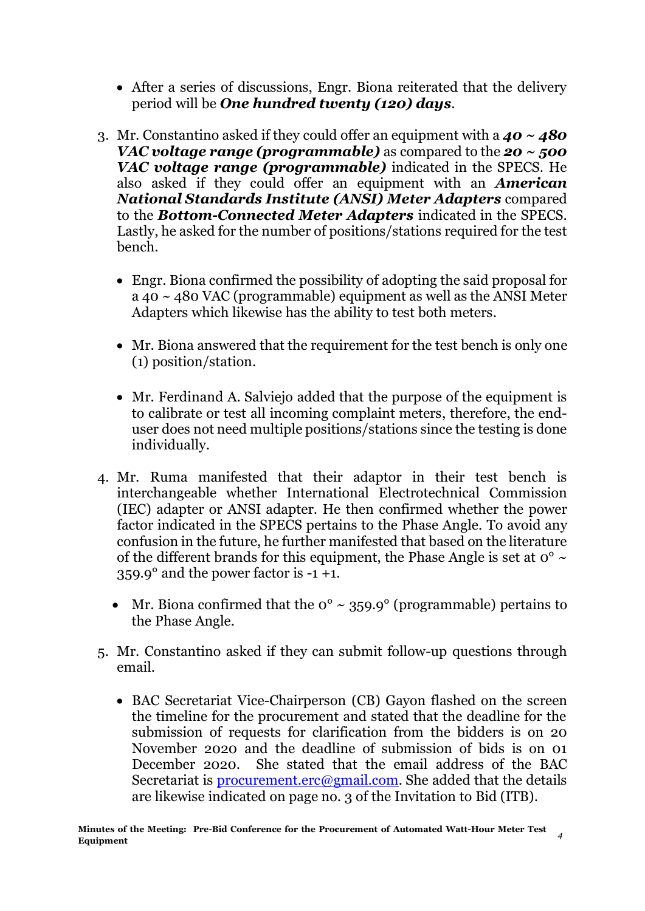- After a series of discussions, Engr. Biona reiterated that the delivery period will be *One hundred twenty (120) days*.
- 3. Mr. Constantino asked if they could offer an equipment with a *40 ~ 480 VAC voltage range (programmable)* as compared to the *20 ~ 500 VAC voltage range (programmable)* indicated in the SPECS. He also asked if they could offer an equipment with an *American National Standards Institute (ANSI) Meter Adapters* compared to the *Bottom-Connected Meter Adapters* indicated in the SPECS. Lastly, he asked for the number of positions/stations required for the test bench.
	- Engr. Biona confirmed the possibility of adopting the said proposal for a 40 ~ 480 VAC (programmable) equipment as well as the ANSI Meter Adapters which likewise has the ability to test both meters.
	- Mr. Biona answered that the requirement for the test bench is only one (1) position/station.
	- Mr. Ferdinand A. Salviejo added that the purpose of the equipment is to calibrate or test all incoming complaint meters, therefore, the enduser does not need multiple positions/stations since the testing is done individually.
- 4. Mr. Ruma manifested that their adaptor in their test bench is interchangeable whether International Electrotechnical Commission (IEC) adapter or ANSI adapter. He then confirmed whether the power factor indicated in the SPECS pertains to the Phase Angle. To avoid any confusion in the future, he further manifested that based on the literature of the different brands for this equipment, the Phase Angle is set at  $0^{\circ} \sim$ 359.9° and the power factor is -1 +1.
	- Mr. Biona confirmed that the  $0^{\circ} \sim 359.9^{\circ}$  (programmable) pertains to the Phase Angle.
- 5. Mr. Constantino asked if they can submit follow-up questions through email.
	- BAC Secretariat Vice-Chairperson (CB) Gayon flashed on the screen the timeline for the procurement and stated that the deadline for the submission of requests for clarification from the bidders is on 20 November 2020 and the deadline of submission of bids is on 01 December 2020. She stated that the email address of the BAC Secretariat is **procurement.erc@gmail.com**. She added that the details are likewise indicated on page no. 3 of the Invitation to Bid (ITB).

Mehappy

Dr. August Anthony N. Balute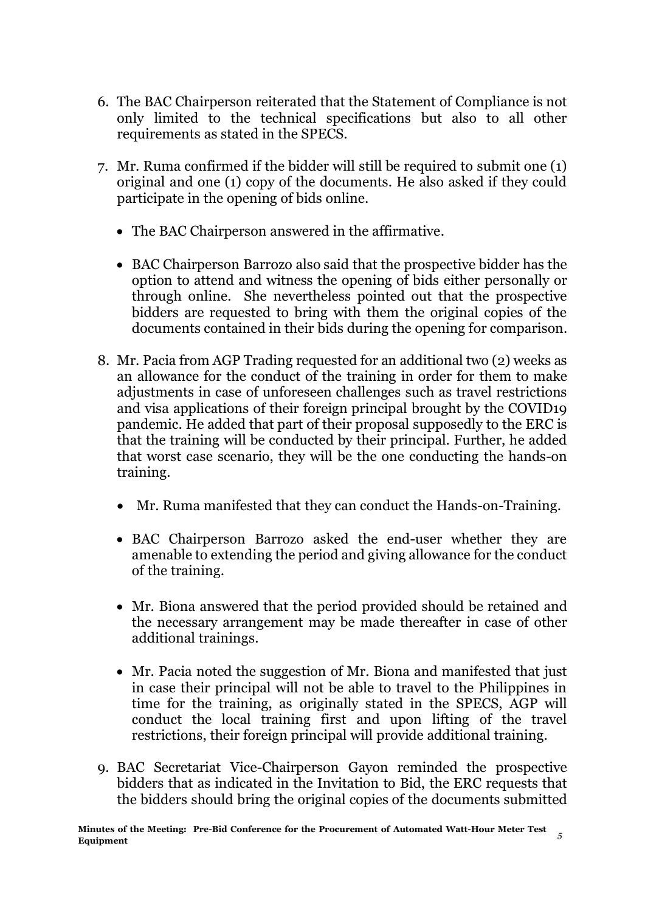- 6. The BAC Chairperson reiterated that the Statement of Compliance is not only limited to the technical specifications but also to all other requirements as stated in the SPECS.
- 7. Mr. Ruma confirmed if the bidder will still be required to submit one (1) original and one (1) copy of the documents. He also asked if they could participate in the opening of bids online.
	- The BAC Chairperson answered in the affirmative.
	- BAC Chairperson Barrozo also said that the prospective bidder has the option to attend and witness the opening of bids either personally or through online. She nevertheless pointed out that the prospective bidders are requested to bring with them the original copies of the documents contained in their bids during the opening for comparison.
- 8. Mr. Pacia from AGP Trading requested for an additional two (2) weeks as an allowance for the conduct of the training in order for them to make adjustments in case of unforeseen challenges such as travel restrictions and visa applications of their foreign principal brought by the COVID19 pandemic. He added that part of their proposal supposedly to the ERC is that the training will be conducted by their principal. Further, he added that worst case scenario, they will be the one conducting the hands-on training.
	- Mr. Ruma manifested that they can conduct the Hands-on-Training.
	- BAC Chairperson Barrozo asked the end-user whether they are amenable to extending the period and giving allowance for the conduct of the training.
	- Mr. Biona answered that the period provided should be retained and the necessary arrangement may be made thereafter in case of other additional trainings.
	- Mr. Pacia noted the suggestion of Mr. Biona and manifested that just in case their principal will not be able to travel to the Philippines in time for the training, as originally stated in the SPECS, AGP will conduct the local training first and upon lifting of the travel restrictions, their foreign principal will provide additional training.
- 9. BAC Secretariat Vice-Chairperson Gayon reminded the prospective bidders that as indicated in the Invitation to Bid, the ERC requests that the bidders should bring the original copies of the documents submitted

Dr. August Anthony N. Balute

Mehann/